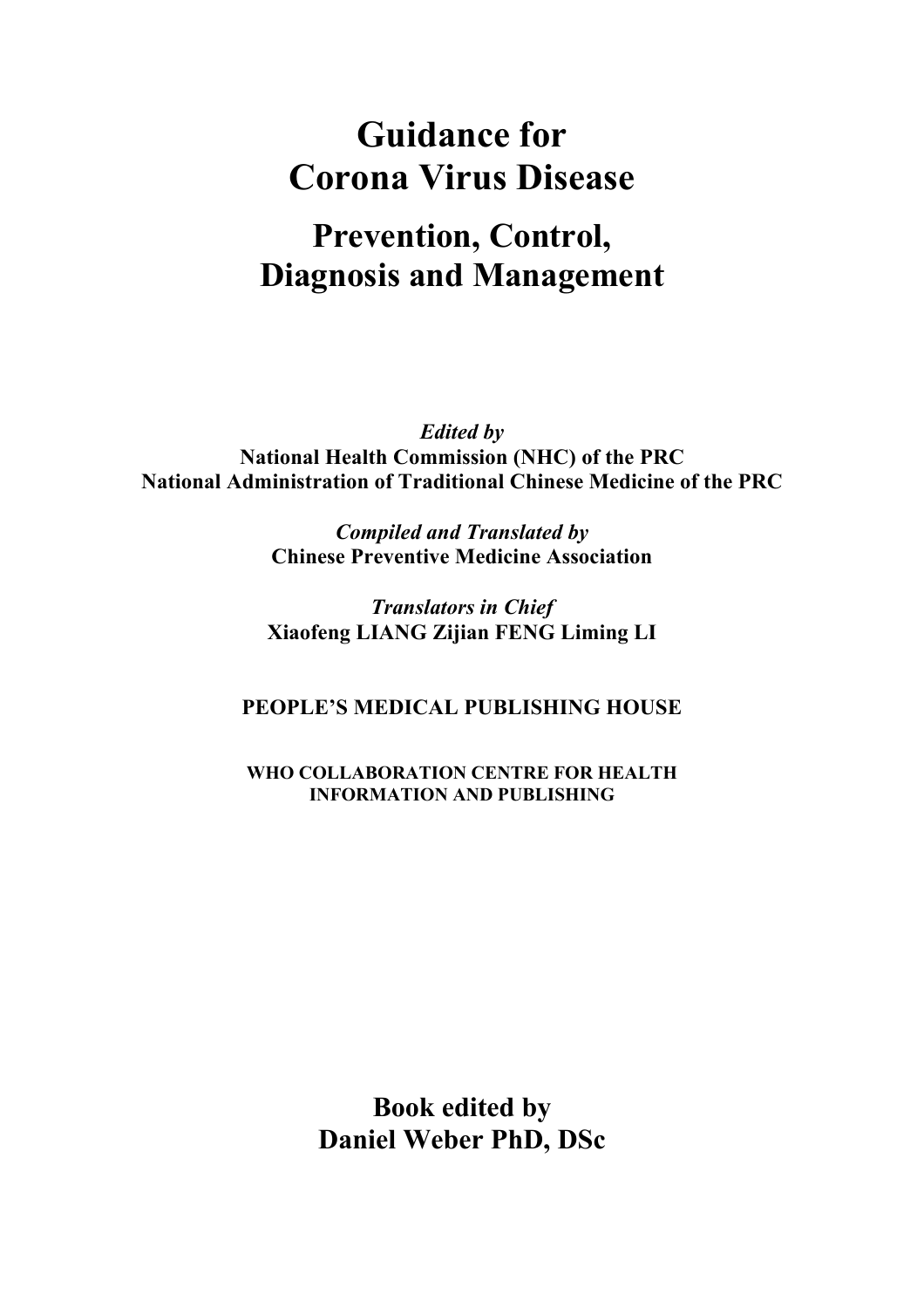# **Guidance for Corona Virus Disease**

# **Prevention, Control, Diagnosis and Management**

*Edited by* **National Health Commission (NHC) of the PRC National Administration of Traditional Chinese Medicine of the PRC**

> *Compiled and Translated by* **Chinese Preventive Medicine Association**

*Translators in Chief* **Xiaofeng LIANG Zijian FENG Liming LI**

**PEOPLE'S MEDICAL PUBLISHING HOUSE**

**WHO COLLABORATION CENTRE FOR HEALTH INFORMATION AND PUBLISHING**

> **Book edited by Daniel Weber PhD, DSc**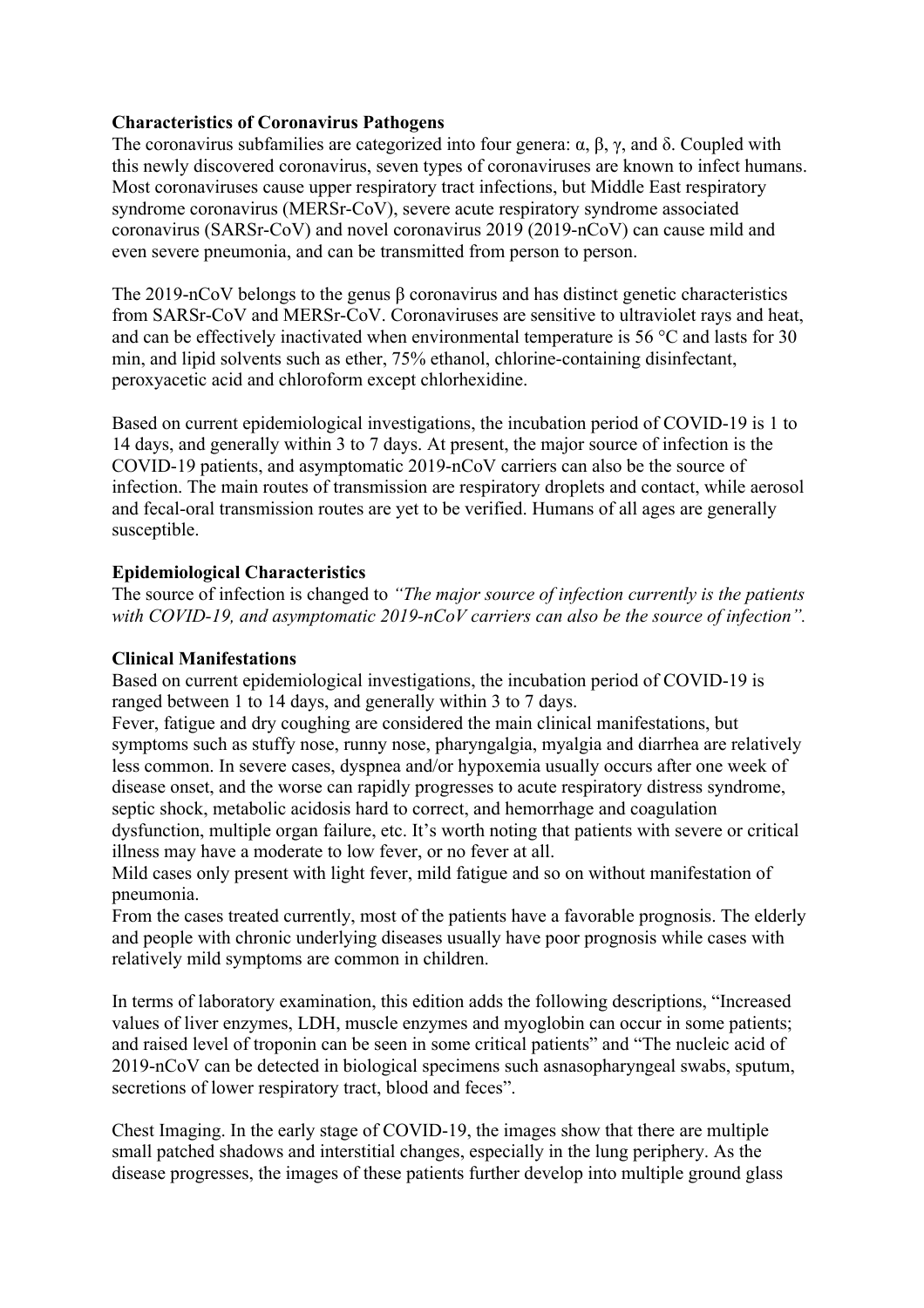#### **Characteristics of Coronavirus Pathogens**

The coronavirus subfamilies are categorized into four genera:  $\alpha$ ,  $\beta$ ,  $\gamma$ , and δ. Coupled with this newly discovered coronavirus, seven types of coronaviruses are known to infect humans. Most coronaviruses cause upper respiratory tract infections, but Middle East respiratory syndrome coronavirus (MERSr-CoV), severe acute respiratory syndrome associated coronavirus (SARSr-CoV) and novel coronavirus 2019 (2019-nCoV) can cause mild and even severe pneumonia, and can be transmitted from person to person.

The 2019-nCoV belongs to the genus  $\beta$  coronavirus and has distinct genetic characteristics from SARSr-CoV and MERSr-CoV. Coronaviruses are sensitive to ultraviolet rays and heat, and can be effectively inactivated when environmental temperature is 56 °C and lasts for 30 min, and lipid solvents such as ether, 75% ethanol, chlorine-containing disinfectant, peroxyacetic acid and chloroform except chlorhexidine.

Based on current epidemiological investigations, the incubation period of COVID-19 is 1 to 14 days, and generally within 3 to 7 days. At present, the major source of infection is the COVID-19 patients, and asymptomatic 2019-nCoV carriers can also be the source of infection. The main routes of transmission are respiratory droplets and contact, while aerosol and fecal-oral transmission routes are yet to be verified. Humans of all ages are generally susceptible.

## **Epidemiological Characteristics**

The source of infection is changed to *"The major source of infection currently is the patients with COVID-19, and asymptomatic 2019-nCoV carriers can also be the source of infection".* 

#### **Clinical Manifestations**

Based on current epidemiological investigations, the incubation period of COVID-19 is ranged between 1 to 14 days, and generally within 3 to 7 days.

Fever, fatigue and dry coughing are considered the main clinical manifestations, but symptoms such as stuffy nose, runny nose, pharyngalgia, myalgia and diarrhea are relatively less common. In severe cases, dyspnea and/or hypoxemia usually occurs after one week of disease onset, and the worse can rapidly progresses to acute respiratory distress syndrome, septic shock, metabolic acidosis hard to correct, and hemorrhage and coagulation dysfunction, multiple organ failure, etc. It's worth noting that patients with severe or critical

illness may have a moderate to low fever, or no fever at all.

Mild cases only present with light fever, mild fatigue and so on without manifestation of pneumonia.

From the cases treated currently, most of the patients have a favorable prognosis. The elderly and people with chronic underlying diseases usually have poor prognosis while cases with relatively mild symptoms are common in children.

In terms of laboratory examination, this edition adds the following descriptions, "Increased values of liver enzymes, LDH, muscle enzymes and myoglobin can occur in some patients; and raised level of troponin can be seen in some critical patients" and "The nucleic acid of 2019-nCoV can be detected in biological specimens such asnasopharyngeal swabs, sputum, secretions of lower respiratory tract, blood and feces".

Chest Imaging. In the early stage of COVID-19, the images show that there are multiple small patched shadows and interstitial changes, especially in the lung periphery. As the disease progresses, the images of these patients further develop into multiple ground glass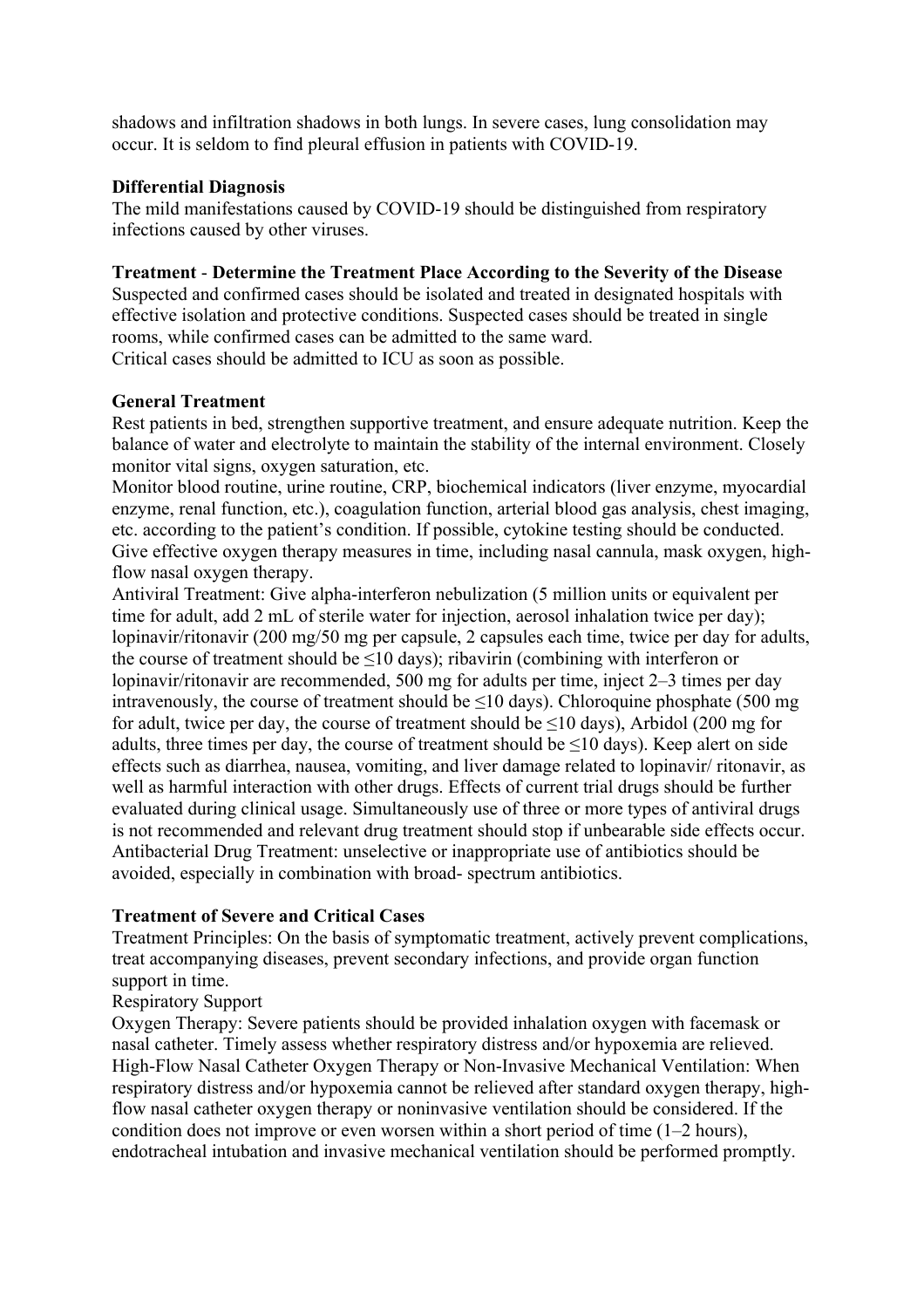shadows and infiltration shadows in both lungs. In severe cases, lung consolidation may occur. It is seldom to find pleural effusion in patients with COVID-19.

#### **Differential Diagnosis**

The mild manifestations caused by COVID-19 should be distinguished from respiratory infections caused by other viruses.

#### **Treatment** - **Determine the Treatment Place According to the Severity of the Disease**

Suspected and confirmed cases should be isolated and treated in designated hospitals with effective isolation and protective conditions. Suspected cases should be treated in single rooms, while confirmed cases can be admitted to the same ward. Critical cases should be admitted to ICU as soon as possible.

#### **General Treatment**

Rest patients in bed, strengthen supportive treatment, and ensure adequate nutrition. Keep the balance of water and electrolyte to maintain the stability of the internal environment. Closely monitor vital signs, oxygen saturation, etc.

Monitor blood routine, urine routine, CRP, biochemical indicators (liver enzyme, myocardial enzyme, renal function, etc.), coagulation function, arterial blood gas analysis, chest imaging, etc. according to the patient's condition. If possible, cytokine testing should be conducted. Give effective oxygen therapy measures in time, including nasal cannula, mask oxygen, highflow nasal oxygen therapy.

Antiviral Treatment: Give alpha-interferon nebulization (5 million units or equivalent per time for adult, add 2 mL of sterile water for injection, aerosol inhalation twice per day); lopinavir/ritonavir (200 mg/50 mg per capsule, 2 capsules each time, twice per day for adults, the course of treatment should be  $\leq 10$  days); ribavirin (combining with interferon or lopinavir/ritonavir are recommended, 500 mg for adults per time, inject 2–3 times per day intravenously, the course of treatment should be  $\leq 10$  days). Chloroquine phosphate (500 mg for adult, twice per day, the course of treatment should be ≤10 days), Arbidol (200 mg for adults, three times per day, the course of treatment should be ≤10 days). Keep alert on side effects such as diarrhea, nausea, vomiting, and liver damage related to lopinavir/ ritonavir, as well as harmful interaction with other drugs. Effects of current trial drugs should be further evaluated during clinical usage. Simultaneously use of three or more types of antiviral drugs is not recommended and relevant drug treatment should stop if unbearable side effects occur. Antibacterial Drug Treatment: unselective or inappropriate use of antibiotics should be avoided, especially in combination with broad- spectrum antibiotics.

#### **Treatment of Severe and Critical Cases**

Treatment Principles: On the basis of symptomatic treatment, actively prevent complications, treat accompanying diseases, prevent secondary infections, and provide organ function support in time.

Respiratory Support

Oxygen Therapy: Severe patients should be provided inhalation oxygen with facemask or nasal catheter. Timely assess whether respiratory distress and/or hypoxemia are relieved. High-Flow Nasal Catheter Oxygen Therapy or Non-Invasive Mechanical Ventilation: When respiratory distress and/or hypoxemia cannot be relieved after standard oxygen therapy, highflow nasal catheter oxygen therapy or noninvasive ventilation should be considered. If the condition does not improve or even worsen within a short period of time (1–2 hours), endotracheal intubation and invasive mechanical ventilation should be performed promptly.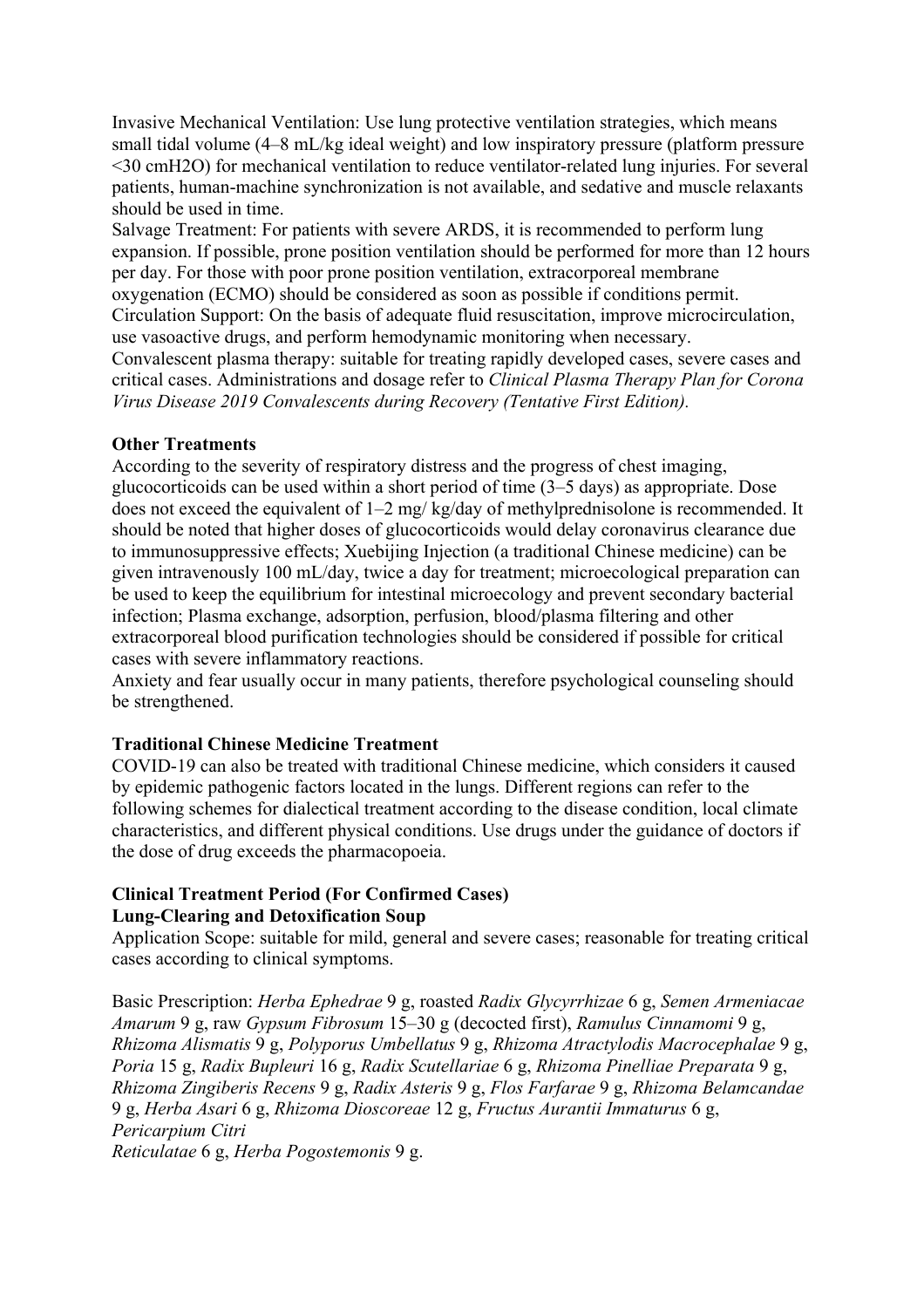Invasive Mechanical Ventilation: Use lung protective ventilation strategies, which means small tidal volume (4–8 mL/kg ideal weight) and low inspiratory pressure (platform pressure <30 cmH2O) for mechanical ventilation to reduce ventilator-related lung injuries. For several patients, human-machine synchronization is not available, and sedative and muscle relaxants should be used in time.

Salvage Treatment: For patients with severe ARDS, it is recommended to perform lung expansion. If possible, prone position ventilation should be performed for more than 12 hours per day. For those with poor prone position ventilation, extracorporeal membrane oxygenation (ECMO) should be considered as soon as possible if conditions permit. Circulation Support: On the basis of adequate fluid resuscitation, improve microcirculation, use vasoactive drugs, and perform hemodynamic monitoring when necessary. Convalescent plasma therapy: suitable for treating rapidly developed cases, severe cases and critical cases. Administrations and dosage refer to *Clinical Plasma Therapy Plan for Corona Virus Disease 2019 Convalescents during Recovery (Tentative First Edition).* 

#### **Other Treatments**

According to the severity of respiratory distress and the progress of chest imaging, glucocorticoids can be used within a short period of time (3–5 days) as appropriate. Dose does not exceed the equivalent of 1–2 mg/ kg/day of methylprednisolone is recommended. It should be noted that higher doses of glucocorticoids would delay coronavirus clearance due to immunosuppressive effects; Xuebijing Injection (a traditional Chinese medicine) can be given intravenously 100 mL/day, twice a day for treatment; microecological preparation can be used to keep the equilibrium for intestinal microecology and prevent secondary bacterial infection; Plasma exchange, adsorption, perfusion, blood/plasma filtering and other extracorporeal blood purification technologies should be considered if possible for critical cases with severe inflammatory reactions.

Anxiety and fear usually occur in many patients, therefore psychological counseling should be strengthened.

#### **Traditional Chinese Medicine Treatment**

COVID-19 can also be treated with traditional Chinese medicine, which considers it caused by epidemic pathogenic factors located in the lungs. Different regions can refer to the following schemes for dialectical treatment according to the disease condition, local climate characteristics, and different physical conditions. Use drugs under the guidance of doctors if the dose of drug exceeds the pharmacopoeia.

## **Clinical Treatment Period (For Confirmed Cases) Lung-Clearing and Detoxification Soup**

Application Scope: suitable for mild, general and severe cases; reasonable for treating critical cases according to clinical symptoms.

Basic Prescription: *Herba Ephedrae* 9 g, roasted *Radix Glycyrrhizae* 6 g, *Semen Armeniacae Amarum* 9 g, raw *Gypsum Fibrosum* 15–30 g (decocted first), *Ramulus Cinnamomi* 9 g, *Rhizoma Alismatis* 9 g, *Polyporus Umbellatus* 9 g, *Rhizoma Atractylodis Macrocephalae* 9 g, *Poria* 15 g, *Radix Bupleuri* 16 g, *Radix Scutellariae* 6 g, *Rhizoma Pinelliae Preparata* 9 g, *Rhizoma Zingiberis Recens* 9 g, *Radix Asteris* 9 g, *Flos Farfarae* 9 g, *Rhizoma Belamcandae*  9 g, *Herba Asari* 6 g, *Rhizoma Dioscoreae* 12 g, *Fructus Aurantii Immaturus* 6 g, *Pericarpium Citri Reticulatae* 6 g, *Herba Pogostemonis* 9 g.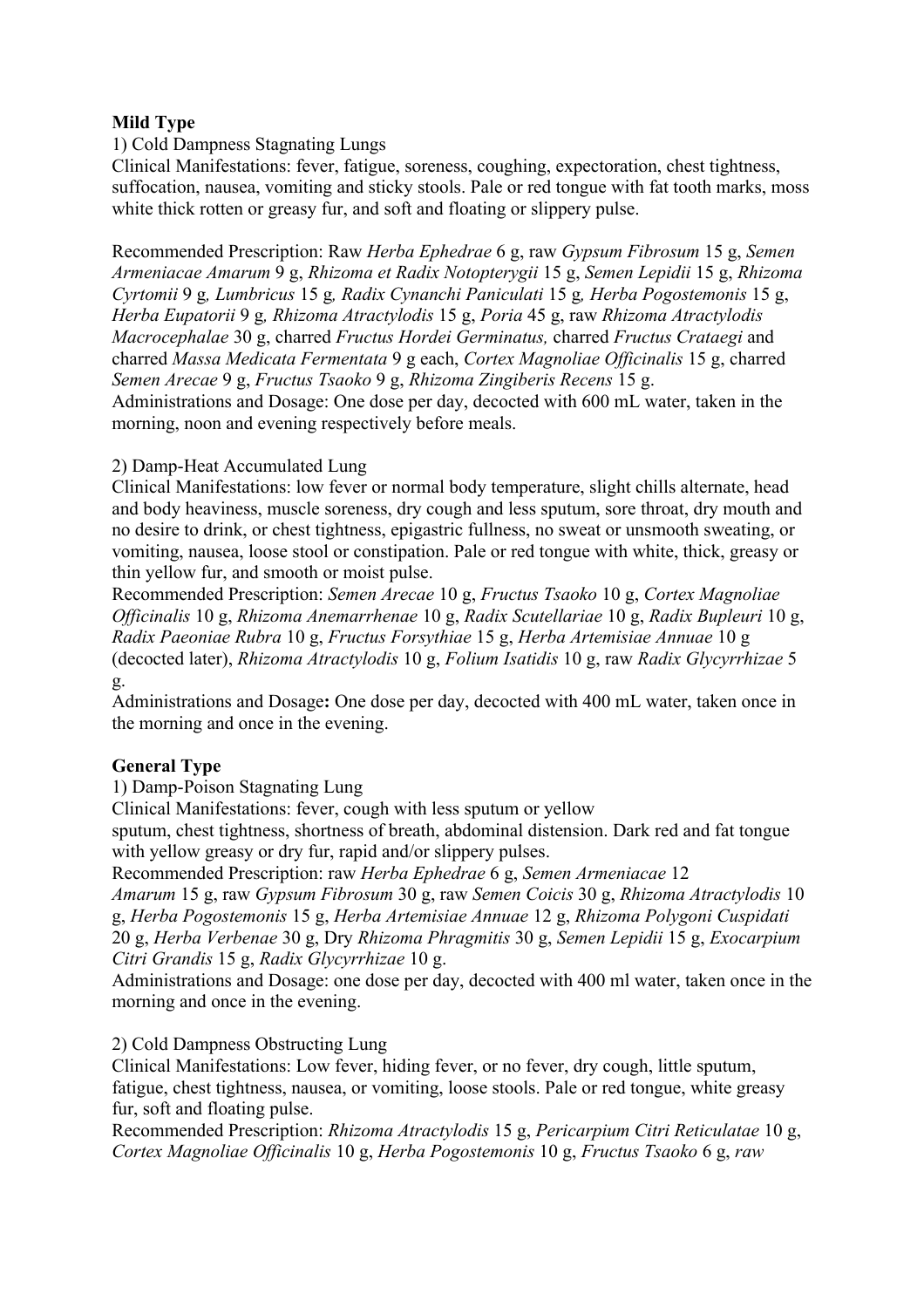#### **Mild Type**

1) Cold Dampness Stagnating Lungs

Clinical Manifestations: fever, fatigue, soreness, coughing, expectoration, chest tightness, suffocation, nausea, vomiting and sticky stools. Pale or red tongue with fat tooth marks, moss white thick rotten or greasy fur, and soft and floating or slippery pulse.

Recommended Prescription: Raw *Herba Ephedrae* 6 g, raw *Gypsum Fibrosum* 15 g, *Semen Armeniacae Amarum* 9 g, *Rhizoma et Radix Notopterygii* 15 g, *Semen Lepidii* 15 g, *Rhizoma Cyrtomii* 9 g*, Lumbricus* 15 g*, Radix Cynanchi Paniculati* 15 g*, Herba Pogostemonis* 15 g, *Herba Eupatorii* 9 g*, Rhizoma Atractylodis* 15 g, *Poria* 45 g, raw *Rhizoma Atractylodis Macrocephalae* 30 g, charred *Fructus Hordei Germinatus,* charred *Fructus Crataegi* and charred *Massa Medicata Fermentata* 9 g each, *Cortex Magnoliae Officinalis* 15 g, charred *Semen Arecae* 9 g, *Fructus Tsaoko* 9 g, *Rhizoma Zingiberis Recens* 15 g. Administrations and Dosage: One dose per day, decocted with 600 mL water, taken in the morning, noon and evening respectively before meals.

#### 2) Damp-Heat Accumulated Lung

Clinical Manifestations: low fever or normal body temperature, slight chills alternate, head and body heaviness, muscle soreness, dry cough and less sputum, sore throat, dry mouth and no desire to drink, or chest tightness, epigastric fullness, no sweat or unsmooth sweating, or vomiting, nausea, loose stool or constipation. Pale or red tongue with white, thick, greasy or thin yellow fur, and smooth or moist pulse.

Recommended Prescription: *Semen Arecae* 10 g, *Fructus Tsaoko* 10 g, *Cortex Magnoliae Officinalis* 10 g, *Rhizoma Anemarrhenae* 10 g, *Radix Scutellariae* 10 g, *Radix Bupleuri* 10 g, *Radix Paeoniae Rubra* 10 g, *Fructus Forsythiae* 15 g, *Herba Artemisiae Annuae* 10 g (decocted later), *Rhizoma Atractylodis* 10 g, *Folium Isatidis* 10 g, raw *Radix Glycyrrhizae* 5 g.

Administrations and Dosage**:** One dose per day, decocted with 400 mL water, taken once in the morning and once in the evening.

#### **General Type**

1) Damp-Poison Stagnating Lung

Clinical Manifestations: fever, cough with less sputum or yellow

sputum, chest tightness, shortness of breath, abdominal distension. Dark red and fat tongue with yellow greasy or dry fur, rapid and/or slippery pulses.

Recommended Prescription: raw *Herba Ephedrae* 6 g, *Semen Armeniacae* 12 *Amarum* 15 g, raw *Gypsum Fibrosum* 30 g, raw *Semen Coicis* 30 g, *Rhizoma Atractylodis* 10 g, *Herba Pogostemonis* 15 g, *Herba Artemisiae Annuae* 12 g, *Rhizoma Polygoni Cuspidati* 

20 g, *Herba Verbenae* 30 g, Dry *Rhizoma Phragmitis* 30 g, *Semen Lepidii* 15 g, *Exocarpium Citri Grandis* 15 g, *Radix Glycyrrhizae* 10 g.

Administrations and Dosage: one dose per day, decocted with 400 ml water, taken once in the morning and once in the evening.

2) Cold Dampness Obstructing Lung

Clinical Manifestations: Low fever, hiding fever, or no fever, dry cough, little sputum, fatigue, chest tightness, nausea, or vomiting, loose stools. Pale or red tongue, white greasy fur, soft and floating pulse.

Recommended Prescription: *Rhizoma Atractylodis* 15 g, *Pericarpium Citri Reticulatae* 10 g, *Cortex Magnoliae Officinalis* 10 g, *Herba Pogostemonis* 10 g, *Fructus Tsaoko* 6 g, *raw*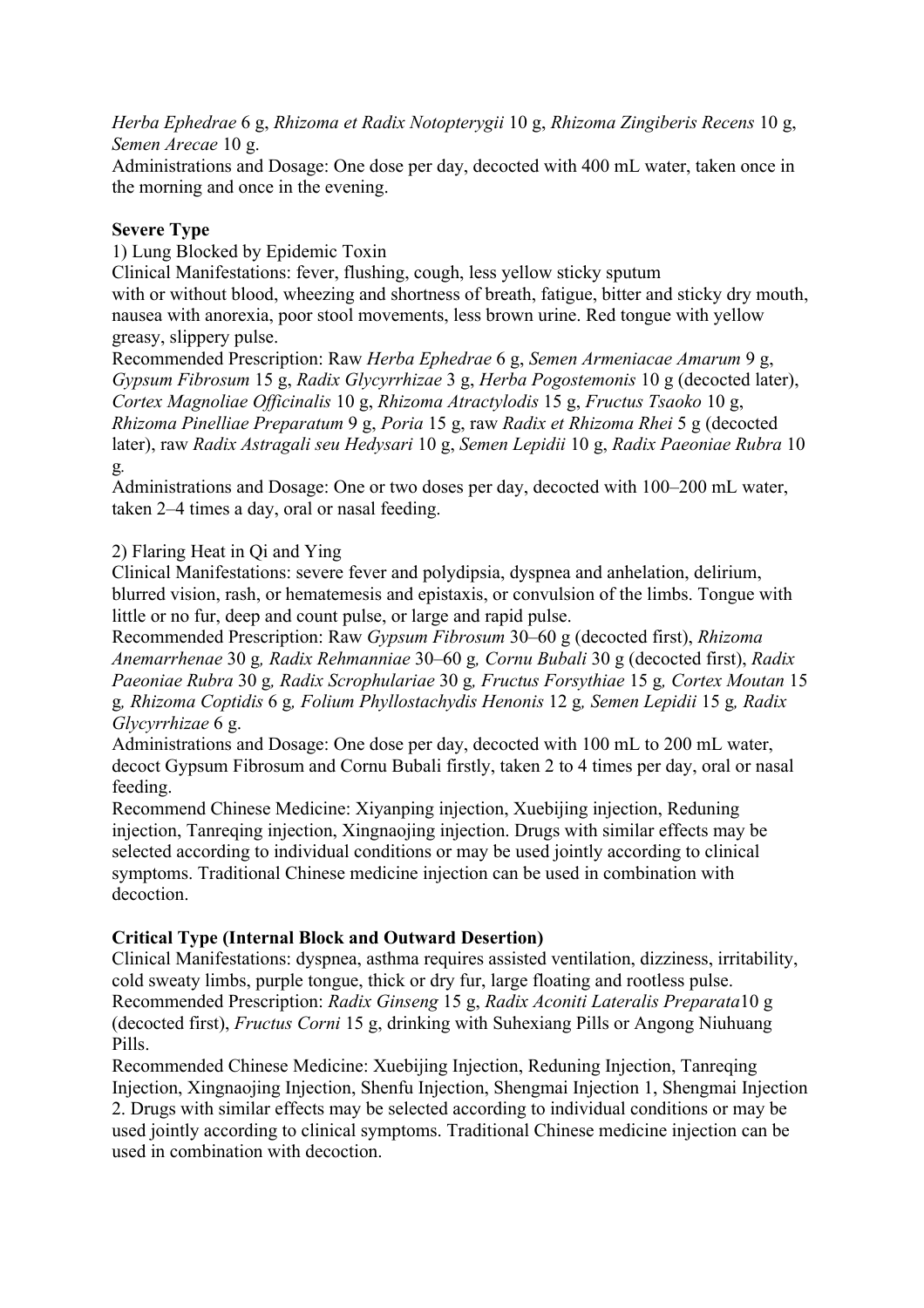*Herba Ephedrae* 6 g, *Rhizoma et Radix Notopterygii* 10 g, *Rhizoma Zingiberis Recens* 10 g, *Semen Arecae* 10 g.

Administrations and Dosage: One dose per day, decocted with 400 mL water, taken once in the morning and once in the evening.

## **Severe Type**

1) Lung Blocked by Epidemic Toxin

Clinical Manifestations: fever, flushing, cough, less yellow sticky sputum

with or without blood, wheezing and shortness of breath, fatigue, bitter and sticky dry mouth, nausea with anorexia, poor stool movements, less brown urine. Red tongue with yellow greasy, slippery pulse.

Recommended Prescription: Raw *Herba Ephedrae* 6 g, *Semen Armeniacae Amarum* 9 g, *Gypsum Fibrosum* 15 g, *Radix Glycyrrhizae* 3 g, *Herba Pogostemonis* 10 g (decocted later), *Cortex Magnoliae Officinalis* 10 g, *Rhizoma Atractylodis* 15 g, *Fructus Tsaoko* 10 g, *Rhizoma Pinelliae Preparatum* 9 g, *Poria* 15 g, raw *Radix et Rhizoma Rhei* 5 g (decocted later), raw *Radix Astragali seu Hedysari* 10 g, *Semen Lepidii* 10 g, *Radix Paeoniae Rubra* 10 g*.* 

Administrations and Dosage: One or two doses per day, decocted with 100–200 mL water, taken 2–4 times a day, oral or nasal feeding.

## 2) Flaring Heat in Qi and Ying

Clinical Manifestations: severe fever and polydipsia, dyspnea and anhelation, delirium, blurred vision, rash, or hematemesis and epistaxis, or convulsion of the limbs. Tongue with little or no fur, deep and count pulse, or large and rapid pulse.

Recommended Prescription: Raw *Gypsum Fibrosum* 30–60 g (decocted first), *Rhizoma Anemarrhenae* 30 g*, Radix Rehmanniae* 30–60 g*, Cornu Bubali* 30 g (decocted first), *Radix Paeoniae Rubra* 30 g*, Radix Scrophulariae* 30 g*, Fructus Forsythiae* 15 g*, Cortex Moutan* 15 g*, Rhizoma Coptidis* 6 g*, Folium Phyllostachydis Henonis* 12 g*, Semen Lepidii* 15 g*, Radix Glycyrrhizae* 6 g.

Administrations and Dosage: One dose per day, decocted with 100 mL to 200 mL water, decoct Gypsum Fibrosum and Cornu Bubali firstly, taken 2 to 4 times per day, oral or nasal feeding.

Recommend Chinese Medicine: Xiyanping injection, Xuebijing injection, Reduning injection, Tanreqing injection, Xingnaojing injection. Drugs with similar effects may be selected according to individual conditions or may be used jointly according to clinical symptoms. Traditional Chinese medicine injection can be used in combination with decoction.

#### **Critical Type (Internal Block and Outward Desertion)**

Clinical Manifestations: dyspnea, asthma requires assisted ventilation, dizziness, irritability, cold sweaty limbs, purple tongue, thick or dry fur, large floating and rootless pulse. Recommended Prescription: *Radix Ginseng* 15 g, *Radix Aconiti Lateralis Preparata*10 g (decocted first), *Fructus Corni* 15 g, drinking with Suhexiang Pills or Angong Niuhuang Pills.

Recommended Chinese Medicine: Xuebijing Injection, Reduning Injection, Tanreqing Injection, Xingnaojing Injection, Shenfu Injection, Shengmai Injection 1, Shengmai Injection 2. Drugs with similar effects may be selected according to individual conditions or may be used jointly according to clinical symptoms. Traditional Chinese medicine injection can be used in combination with decoction.